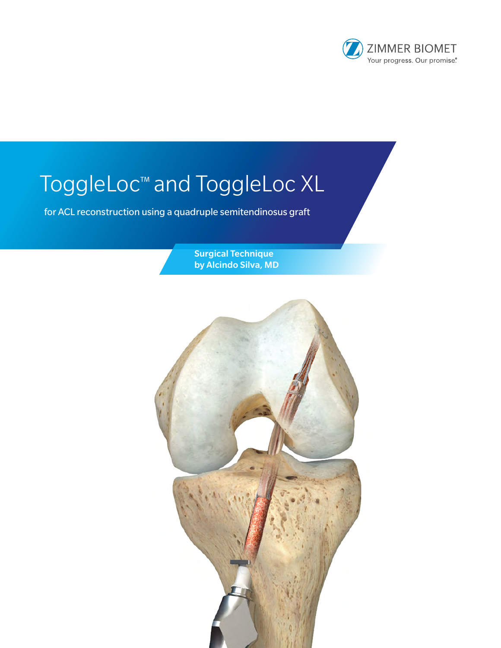

# ToggleLoc™ and ToggleLoc XL

for ACL reconstruction using a quadruple semitendinosus graft

Surgical Technique by Alcindo Silva, MD

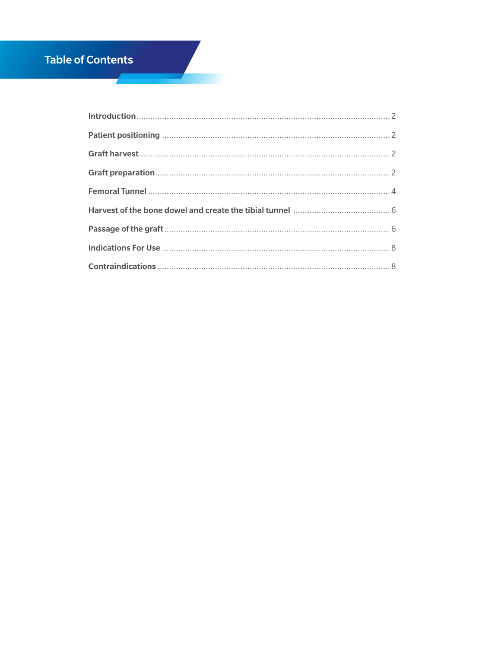## **Table of Contents**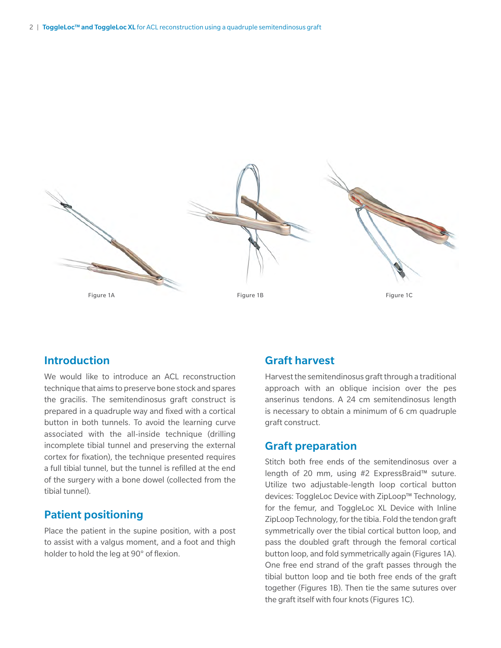

## Introduction

We would like to introduce an ACL reconstruction technique that aims to preserve bone stock and spares the gracilis. The semitendinosus graft construct is prepared in a quadruple way and fixed with a cortical button in both tunnels. To avoid the learning curve associated with the all-inside technique (drilling incomplete tibial tunnel and preserving the external cortex for fixation), the technique presented requires a full tibial tunnel, but the tunnel is refilled at the end of the surgery with a bone dowel (collected from the tibial tunnel).

## Patient positioning

Place the patient in the supine position, with a post to assist with a valgus moment, and a foot and thigh holder to hold the leg at 90° of flexion.

## Graft harvest

Harvest the semitendinosus graft through a traditional approach with an oblique incision over the pes anserinus tendons. A 24 cm semitendinosus length is necessary to obtain a minimum of 6 cm quadruple graft construct.

## Graft preparation

Stitch both free ends of the semitendinosus over a length of 20 mm, using #2 ExpressBraid™ suture. Utilize two adjustable-length loop cortical button devices: ToggleLoc Device with ZipLoop™ Technology, for the femur, and ToggleLoc XL Device with Inline ZipLoop Technology, for the tibia. Fold the tendon graft symmetrically over the tibial cortical button loop, and pass the doubled graft through the femoral cortical button loop, and fold symmetrically again (Figures 1A). One free end strand of the graft passes through the tibial button loop and tie both free ends of the graft together (Figures 1B). Then tie the same sutures over the graft itself with four knots (Figures 1C).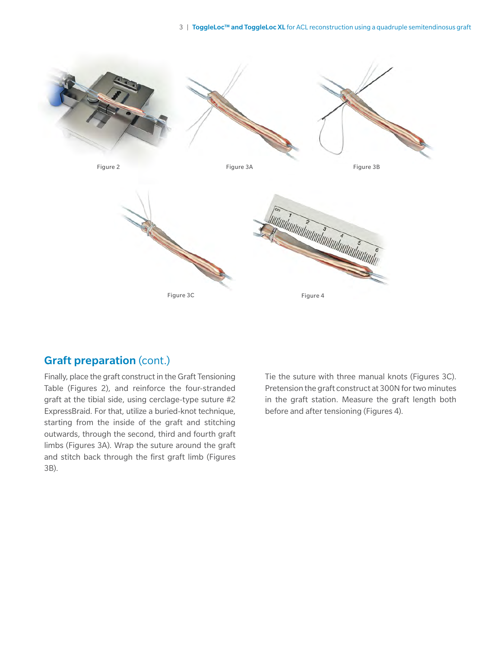

## Graft preparation (cont.)

Finally, place the graft construct in the Graft Tensioning Table (Figures 2), and reinforce the four-stranded graft at the tibial side, using cerclage-type suture #2 ExpressBraid. For that, utilize a buried-knot technique, starting from the inside of the graft and stitching outwards, through the second, third and fourth graft limbs (Figures 3A). Wrap the suture around the graft and stitch back through the first graft limb (Figures 3B).

Tie the suture with three manual knots (Figures 3C). Pretension the graft construct at 300N for two minutes in the graft station. Measure the graft length both before and after tensioning (Figures 4).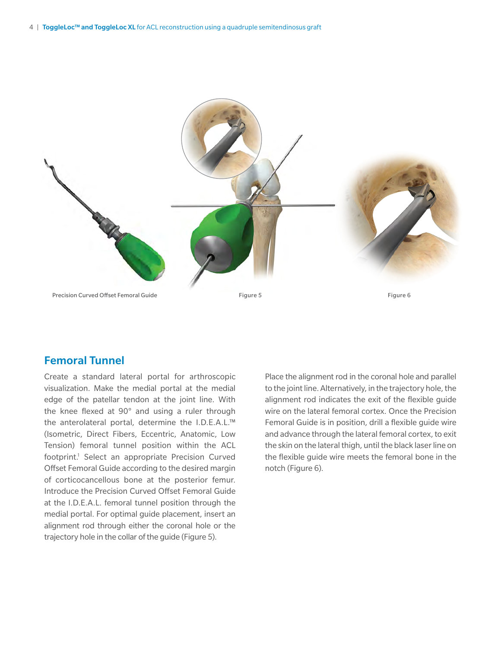

## Femoral Tunnel

Create a standard lateral portal for arthroscopic visualization. Make the medial portal at the medial edge of the patellar tendon at the joint line. With the knee flexed at 90° and using a ruler through the anterolateral portal, determine the I.D.E.A.L.™ (Isometric, Direct Fibers, Eccentric, Anatomic, Low Tension) femoral tunnel position within the ACL footprint.<sup>1</sup> Select an appropriate Precision Curved Offset Femoral Guide according to the desired margin of corticocancellous bone at the posterior femur. Introduce the Precision Curved Offset Femoral Guide at the I.D.E.A.L. femoral tunnel position through the medial portal. For optimal guide placement, insert an alignment rod through either the coronal hole or the trajectory hole in the collar of the guide (Figure 5).

Place the alignment rod in the coronal hole and parallel to the joint line. Alternatively, in the trajectory hole, the alignment rod indicates the exit of the flexible guide wire on the lateral femoral cortex. Once the Precision Femoral Guide is in position, drill a flexible guide wire and advance through the lateral femoral cortex, to exit the skin on the lateral thigh, until the black laser line on the flexible guide wire meets the femoral bone in the notch (Figure 6).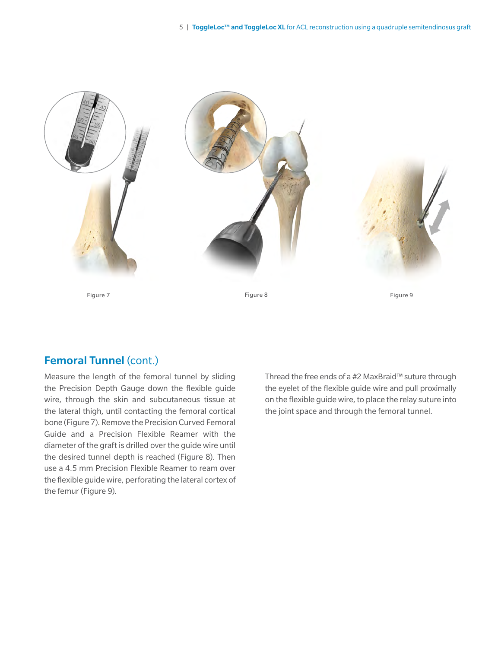

## Femoral Tunnel (cont.)

Measure the length of the femoral tunnel by sliding the Precision Depth Gauge down the flexible guide wire, through the skin and subcutaneous tissue at the lateral thigh, until contacting the femoral cortical bone (Figure 7). Remove the Precision Curved Femoral Guide and a Precision Flexible Reamer with the diameter of the graft is drilled over the guide wire until the desired tunnel depth is reached (Figure 8). Then use a 4.5 mm Precision Flexible Reamer to ream over the flexible guide wire, perforating the lateral cortex of the femur (Figure 9).

Thread the free ends of a #2 MaxBraid™ suture through the eyelet of the flexible guide wire and pull proximally on the flexible guide wire, to place the relay suture into the joint space and through the femoral tunnel.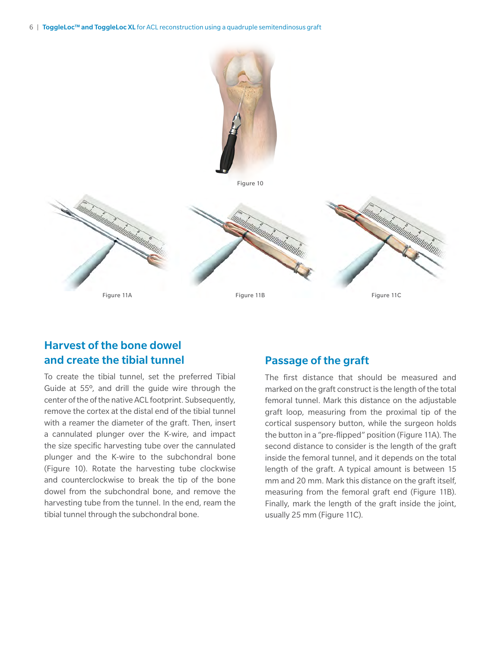

## Harvest of the bone dowel and create the tibial tunnel

To create the tibial tunnel, set the preferred Tibial Guide at 55º, and drill the guide wire through the center of the of the native ACL footprint. Subsequently, remove the cortex at the distal end of the tibial tunnel with a reamer the diameter of the graft. Then, insert a cannulated plunger over the K-wire, and impact the size specific harvesting tube over the cannulated plunger and the K-wire to the subchondral bone (Figure 10). Rotate the harvesting tube clockwise and counterclockwise to break the tip of the bone dowel from the subchondral bone, and remove the harvesting tube from the tunnel. In the end, ream the tibial tunnel through the subchondral bone.

## Passage of the graft

The first distance that should be measured and marked on the graft construct is the length of the total femoral tunnel. Mark this distance on the adjustable graft loop, measuring from the proximal tip of the cortical suspensory button, while the surgeon holds the button in a "pre-flipped" position (Figure 11A). The second distance to consider is the length of the graft inside the femoral tunnel, and it depends on the total length of the graft. A typical amount is between 15 mm and 20 mm. Mark this distance on the graft itself, measuring from the femoral graft end (Figure 11B). Finally, mark the length of the graft inside the joint, usually 25 mm (Figure 11C).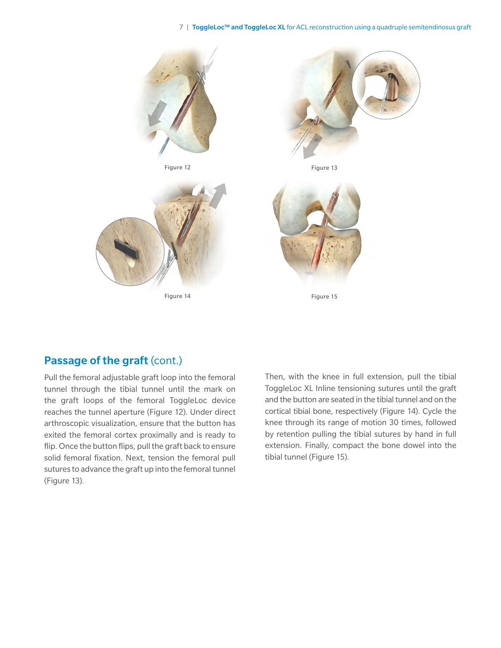#### 7 | ToggleLoc™ and ToggleLoc XL for ACL reconstruction using a quadruple semitendinosus graft



## Passage of the graft (cont.)

Pull the femoral adjustable graft loop into the femoral tunnel through the tibial tunnel until the mark on the graft loops of the femoral ToggleLoc device reaches the tunnel aperture (Figure 12). Under direct arthroscopic visualization, ensure that the button has exited the femoral cortex proximally and is ready to flip. Once the button flips, pull the graft back to ensure solid femoral fixation. Next, tension the femoral pull sutures to advance the graft up into the femoral tunnel (Figure 13).

Then, with the knee in full extension, pull the tibial ToggleLoc XL Inline tensioning sutures until the graft and the button are seated in the tibial tunnel and on the cortical tibial bone, respectively (Figure 14). Cycle the knee through its range of motion 30 times, followed by retention pulling the tibial sutures by hand in full extension. Finally, compact the bone dowel into the tibial tunnel (Figure 15).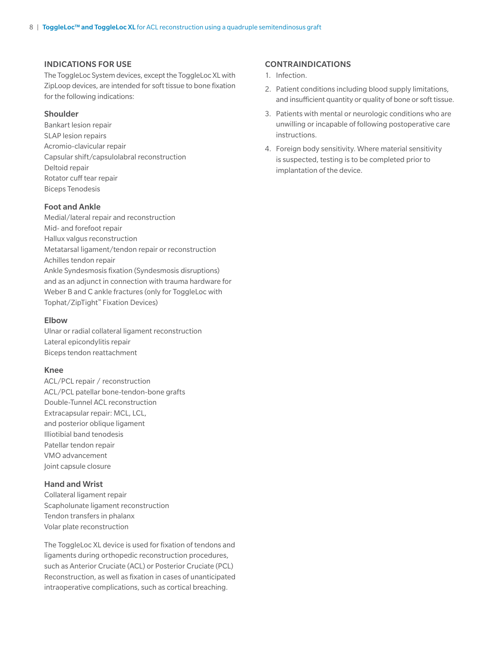#### INDICATIONS FOR USE

The ToggleLoc System devices, except the ToggleLoc XL with ZipLoop devices, are intended for soft tissue to bone fixation for the following indications:

#### Shoulder

Bankart lesion repair SLAP lesion repairs Acromio-clavicular repair Capsular shift/capsulolabral reconstruction Deltoid repair Rotator cuff tear repair Biceps Tenodesis

#### Foot and Ankle

Medial/lateral repair and reconstruction Mid- and forefoot repair Hallux valgus reconstruction Metatarsal ligament/tendon repair or reconstruction Achilles tendon repair Ankle Syndesmosis fixation (Syndesmosis disruptions) and as an adjunct in connection with trauma hardware for Weber B and C ankle fractures (only for ToggleLoc with Tophat/ZipTight™ Fixation Devices)

#### Elbow

Ulnar or radial collateral ligament reconstruction Lateral epicondylitis repair Biceps tendon reattachment

#### Knee

ACL/PCL repair / reconstruction ACL/PCL patellar bone-tendon-bone grafts Double-Tunnel ACL reconstruction Extracapsular repair: MCL, LCL, and posterior oblique ligament Illiotibial band tenodesis Patellar tendon repair VMO advancement Joint capsule closure

#### Hand and Wrist

Collateral ligament repair Scapholunate ligament reconstruction Tendon transfers in phalanx Volar plate reconstruction

The ToggleLoc XL device is used for fixation of tendons and ligaments during orthopedic reconstruction procedures, such as Anterior Cruciate (ACL) or Posterior Cruciate (PCL) Reconstruction, as well as fixation in cases of unanticipated intraoperative complications, such as cortical breaching.

#### CONTRAINDICATIONS

- 1. Infection.
- 2. Patient conditions including blood supply limitations, and insufficient quantity or quality of bone or soft tissue.
- 3. Patients with mental or neurologic conditions who are unwilling or incapable of following postoperative care instructions.
- 4. Foreign body sensitivity. Where material sensitivity is suspected, testing is to be completed prior to implantation of the device.